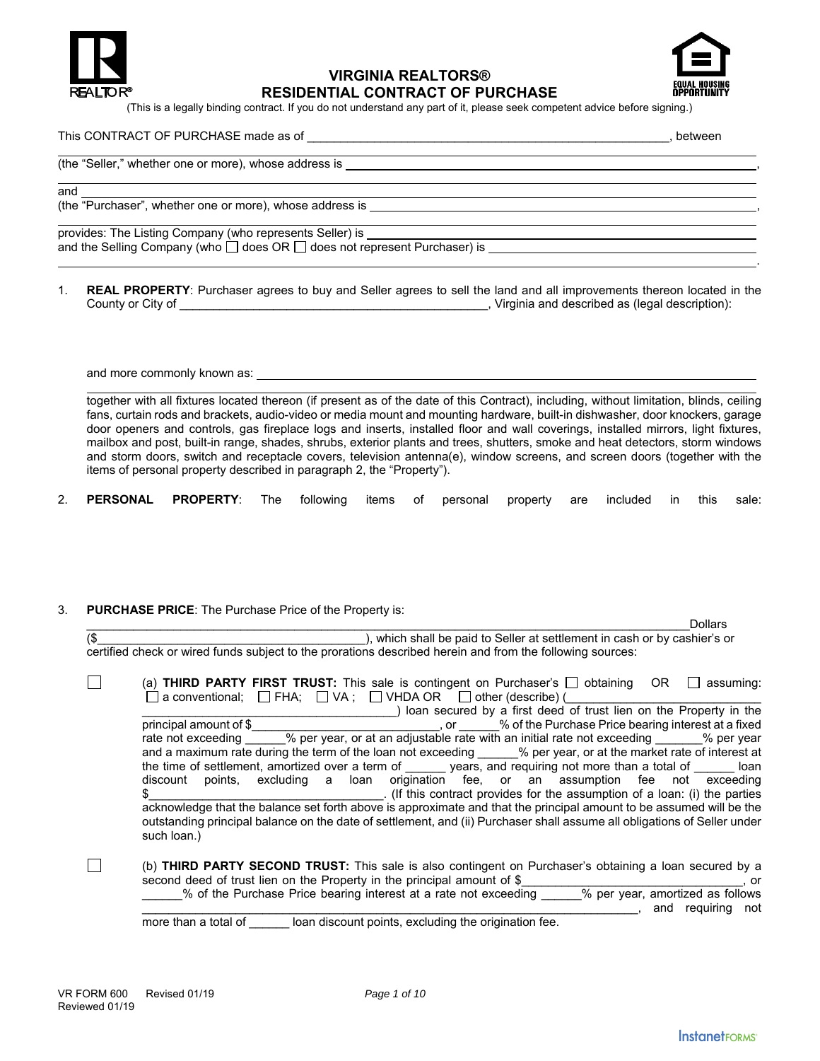

# **VIRGINIA REALTORS® RESIDENTIAL CONTRACT OF PURCHASE**



(This is a legally binding contract. If you do not understand any part of it, please seek competent advice before signing.)

#### This CONTRACT OF PURCHASE made as of \_\_\_\_\_\_\_\_\_\_\_\_\_\_\_\_\_\_\_\_\_\_\_\_\_\_\_\_\_\_\_\_\_\_\_\_\_\_\_\_\_\_\_\_\_\_\_\_\_\_\_\_\_\_, between

| (the "Seller," whether one or more), whose address is                                     |  |
|-------------------------------------------------------------------------------------------|--|
| and                                                                                       |  |
| (the "Purchaser", whether one or more), whose address is                                  |  |
| provides: The Listing Company (who represents Seller) is                                  |  |
| and the Selling Company (who $\square$ does OR $\square$ does not represent Purchaser) is |  |

1. **REAL PROPERTY**: Purchaser agrees to buy and Seller agrees to sell the land and all improvements thereon located in the County or City of \_\_\_\_\_\_\_\_\_\_\_\_\_\_\_\_\_\_\_\_\_\_\_\_\_\_\_\_\_\_\_\_\_\_\_\_\_\_\_\_\_\_\_\_\_\_, Virginia and described as (legal description):

and more commonly known as:

together with all fixtures located thereon (if present as of the date of this Contract), including, without limitation, blinds, ceiling fans, curtain rods and brackets, audio-video or media mount and mounting hardware, built-in dishwasher, door knockers, garage door openers and controls, gas fireplace logs and inserts, installed floor and wall coverings, installed mirrors, light fixtures, mailbox and post, built-in range, shades, shrubs, exterior plants and trees, shutters, smoke and heat detectors, storm windows and storm doors, switch and receptacle covers, television antenna(e), window screens, and screen doors (together with the items of personal property described in paragraph 2, the "Property").

2. **PERSONAL PROPERTY**: The following items of personal property are included in this sale:

#### 3. **PURCHASE PRICE**: The Purchase Price of the Property is:

|     | <b>Dollars</b>                                                                                                           |
|-----|--------------------------------------------------------------------------------------------------------------------------|
| 1\$ | ), which shall be paid to Seller at settlement in cash or by cashier's or                                                |
|     | certified check or wired funds subject to the prorations described herein and from the following sources:                |
|     |                                                                                                                          |
|     | (a) THIRD PARTY FIRST TRUST: This sale is contingent on Purchaser's $\Box$ obtaining<br>- OR<br>assuming:                |
|     | $\Box$ a conventional; $\Box$ FHA; $\Box$ VA; $\Box$ VHDA OR $\Box$ other (describe) (                                   |
|     | ) loan secured by a first deed of trust lien on the Property in the                                                      |
|     | _, or ______% of the Purchase Price bearing interest at a fixed<br>principal amount of \$                                |
|     | rate not exceeding % per year, or at an adjustable rate with an initial rate not exceeding % per year                    |
|     | and a maximum rate during the term of the loan not exceeding % per year, or at the market rate of interest at            |
|     | the time of settlement, amortized over a term of years, and requiring not more than a total of loan                      |
|     | points, excluding a loan origination fee, or an assumption fee not exceeding<br>discount                                 |
|     | . (If this contract provides for the assumption of a loan: (i) the parties                                               |
|     | acknowledge that the balance set forth above is approximate and that the principal amount to be assumed will be the      |
|     | outstanding principal balance on the date of settlement, and (ii) Purchaser shall assume all obligations of Seller under |
|     | such loan.)                                                                                                              |
|     |                                                                                                                          |
|     | (b) THIRD PARTY SECOND TRUST: This sale is also contingent on Purchaser's obtaining a loan secured by a                  |
|     | second deed of trust lien on the Property in the principal amount of \$                                                  |
|     | . or                                                                                                                     |

\_\_\_\_\_\_% of the Purchase Price bearing interest at a rate not exceeding \_\_\_\_\_\_% per year, amortized as follows

 $\Box$ , and requiring not

more than a total of \_\_\_\_\_\_ loan discount points, excluding the origination fee.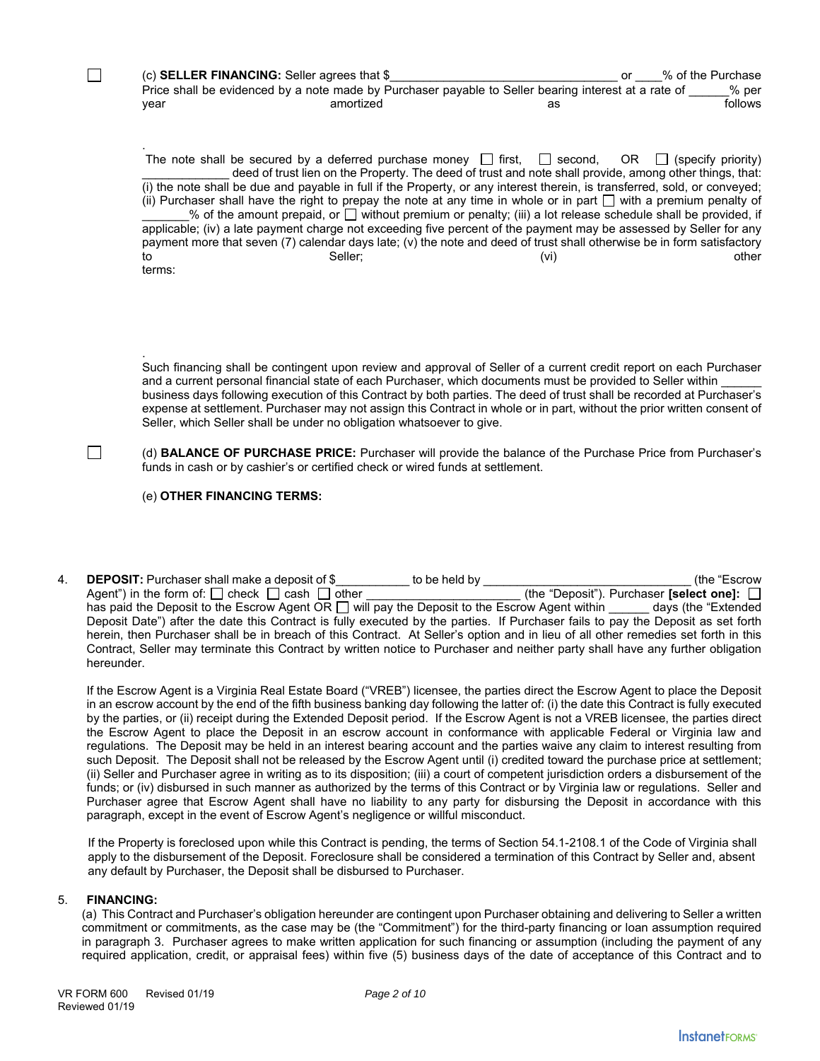(c) **SELLER FINANCING:** Seller agrees that \$\_\_\_\_\_\_\_\_\_\_\_\_\_\_\_\_\_\_\_\_\_\_\_\_\_\_\_\_\_\_\_\_\_\_ or \_\_\_\_% of the Purchase Price shall be evidenced by a note made by Purchaser payable to Seller bearing interest at a rate of % per year amortized as follows

The note shall be secured by a deferred purchase money  $\Box$  first,  $\Box$  second, OR  $\Box$  (specify priority) deed of trust lien on the Property. The deed of trust and note shall provide, among other things, that: (i) the note shall be due and payable in full if the Property, or any interest therein, is transferred, sold, or conveyed; (ii) Purchaser shall have the right to prepay the note at any time in whole or in part  $\Box$  with a premium penalty of  $%$  of the amount prepaid, or  $\square$  without premium or penalty; (iii) a lot release schedule shall be provided, if applicable; (iv) a late payment charge not exceeding five percent of the payment may be assessed by Seller for any payment more that seven (7) calendar days late; (v) the note and deed of trust shall otherwise be in form satisfactory to the seller; the seller; the seller of the seller of the seller of the seller of the seller of the seller of terms:

. Such financing shall be contingent upon review and approval of Seller of a current credit report on each Purchaser and a current personal financial state of each Purchaser, which documents must be provided to Seller within business days following execution of this Contract by both parties. The deed of trust shall be recorded at Purchaser's expense at settlement. Purchaser may not assign this Contract in whole or in part, without the prior written consent of Seller, which Seller shall be under no obligation whatsoever to give.

(d) **BALANCE OF PURCHASE PRICE:** Purchaser will provide the balance of the Purchase Price from Purchaser's funds in cash or by cashier's or certified check or wired funds at settlement.

(e) **OTHER FINANCING TERMS:** 

.

 $\Box$ 

 $\Box$ 

4. **DEPOSIT:** Purchaser shall make a deposit of \$\_\_\_\_\_\_\_\_\_\_\_ to be held by \_\_\_\_\_\_\_\_\_\_\_\_\_\_\_\_\_\_\_\_\_\_\_\_\_\_\_\_\_\_\_ (the "Escrow Agent") in the form of:  $\Box$  check  $\Box$  cash  $\Box$  other has paid the Deposit to the Escrow Agent OR  $\Box$  will pay the Deposit to the Escrow Agent within \_\_\_\_\_ days (the "Extended Deposit Date") after the date this Contract is fully executed by the parties. If Purchaser fails to pay the Deposit as set forth herein, then Purchaser shall be in breach of this Contract. At Seller's option and in lieu of all other remedies set forth in this Contract, Seller may terminate this Contract by written notice to Purchaser and neither party shall have any further obligation hereunder.

If the Escrow Agent is a Virginia Real Estate Board ("VREB") licensee, the parties direct the Escrow Agent to place the Deposit in an escrow account by the end of the fifth business banking day following the latter of: (i) the date this Contract is fully executed by the parties, or (ii) receipt during the Extended Deposit period. If the Escrow Agent is not a VREB licensee, the parties direct the Escrow Agent to place the Deposit in an escrow account in conformance with applicable Federal or Virginia law and regulations. The Deposit may be held in an interest bearing account and the parties waive any claim to interest resulting from such Deposit. The Deposit shall not be released by the Escrow Agent until (i) credited toward the purchase price at settlement; (ii) Seller and Purchaser agree in writing as to its disposition; (iii) a court of competent jurisdiction orders a disbursement of the funds; or (iv) disbursed in such manner as authorized by the terms of this Contract or by Virginia law or regulations. Seller and Purchaser agree that Escrow Agent shall have no liability to any party for disbursing the Deposit in accordance with this paragraph, except in the event of Escrow Agent's negligence or willful misconduct.

If the Property is foreclosed upon while this Contract is pending, the terms of Section 54.1-2108.1 of the Code of Virginia shall apply to the disbursement of the Deposit. Foreclosure shall be considered a termination of this Contract by Seller and, absent any default by Purchaser, the Deposit shall be disbursed to Purchaser.

## 5. **FINANCING:**

(a) This Contract and Purchaser's obligation hereunder are contingent upon Purchaser obtaining and delivering to Seller a written commitment or commitments, as the case may be (the "Commitment") for the third-party financing or loan assumption required in paragraph 3. Purchaser agrees to make written application for such financing or assumption (including the payment of any required application, credit, or appraisal fees) within five (5) business days of the date of acceptance of this Contract and to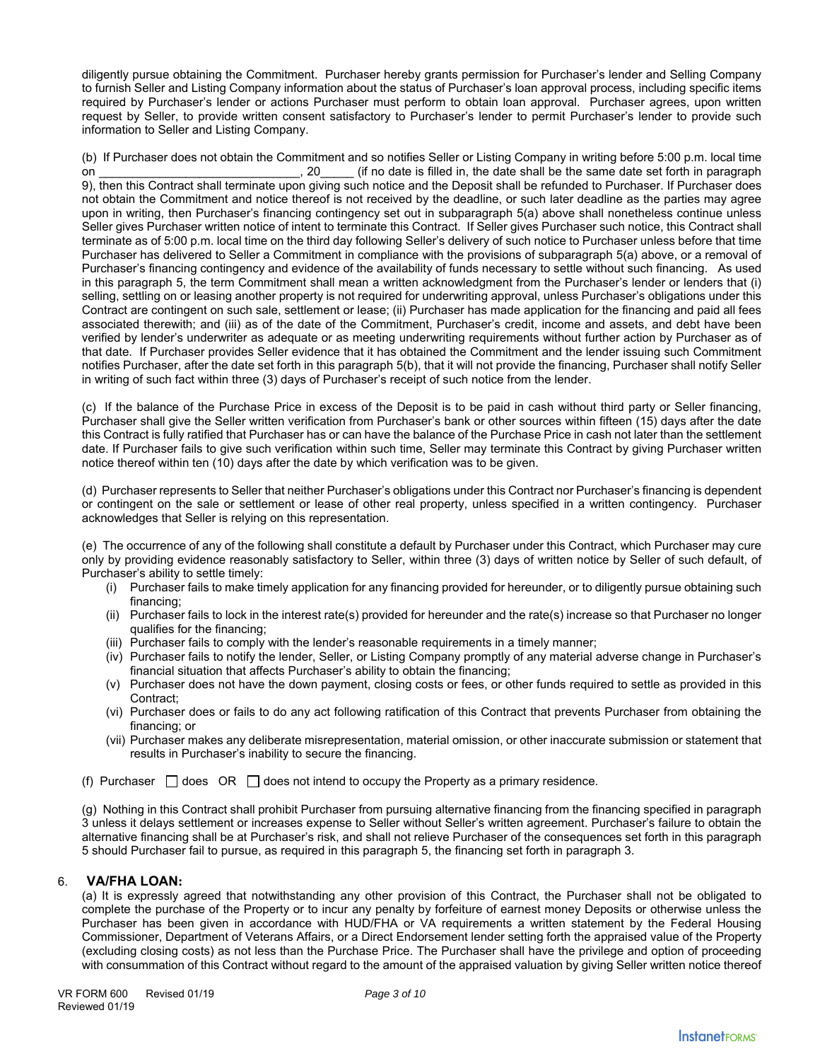diligently pursue obtaining the Commitment. Purchaser hereby grants permission for Purchaser's lender and Selling Company to furnish Seller and Listing Company information about the status of Purchaser's loan approval process, including specific items required by Purchaser's lender or actions Purchaser must perform to obtain loan approval. Purchaser agrees, upon written request by Seller, to provide written consent satisfactory to Purchaser's lender to permit Purchaser's lender to provide such information to Seller and Listing Company.

(b) If Purchaser does not obtain the Commitment and so notifies Seller or Listing Company in writing before 5:00 p.m. local time on \_\_\_\_\_\_\_\_\_\_\_\_\_\_\_\_\_\_\_\_\_\_\_\_\_\_\_\_\_\_, 20\_\_\_\_\_ (if no date is filled in, the date shall be the same date set forth in paragraph 9), then this Contract shall terminate upon giving such notice and the Deposit shall be refunded to Purchaser. If Purchaser does not obtain the Commitment and notice thereof is not received by the deadline, or such later deadline as the parties may agree upon in writing, then Purchaser's financing contingency set out in subparagraph 5(a) above shall nonetheless continue unless Seller gives Purchaser written notice of intent to terminate this Contract. If Seller gives Purchaser such notice, this Contract shall terminate as of 5:00 p.m. local time on the third day following Seller's delivery of such notice to Purchaser unless before that time Purchaser has delivered to Seller a Commitment in compliance with the provisions of subparagraph 5(a) above, or a removal of Purchaser's financing contingency and evidence of the availability of funds necessary to settle without such financing. As used in this paragraph 5, the term Commitment shall mean a written acknowledgment from the Purchaser's lender or lenders that (i) selling, settling on or leasing another property is not required for underwriting approval, unless Purchaser's obligations under this Contract are contingent on such sale, settlement or lease; (ii) Purchaser has made application for the financing and paid all fees associated therewith; and (iii) as of the date of the Commitment, Purchaser's credit, income and assets, and debt have been verified by lender's underwriter as adequate or as meeting underwriting requirements without further action by Purchaser as of that date. If Purchaser provides Seller evidence that it has obtained the Commitment and the lender issuing such Commitment notifies Purchaser, after the date set forth in this paragraph 5(b), that it will not provide the financing, Purchaser shall notify Seller in writing of such fact within three (3) days of Purchaser's receipt of such notice from the lender.

(c) If the balance of the Purchase Price in excess of the Deposit is to be paid in cash without third party or Seller financing, Purchaser shall give the Seller written verification from Purchaser's bank or other sources within fifteen (15) days after the date this Contract is fully ratified that Purchaser has or can have the balance of the Purchase Price in cash not later than the settlement date. If Purchaser fails to give such verification within such time, Seller may terminate this Contract by giving Purchaser written notice thereof within ten (10) days after the date by which verification was to be given.

(d) Purchaser represents to Seller that neither Purchaser's obligations under this Contract nor Purchaser's financing is dependent or contingent on the sale or settlement or lease of other real property, unless specified in a written contingency. Purchaser acknowledges that Seller is relying on this representation.

(e) The occurrence of any of the following shall constitute a default by Purchaser under this Contract, which Purchaser may cure only by providing evidence reasonably satisfactory to Seller, within three (3) days of written notice by Seller of such default, of Purchaser's ability to settle timely:

- (i) Purchaser fails to make timely application for any financing provided for hereunder, or to diligently pursue obtaining such financing;
- (ii) Purchaser fails to lock in the interest rate(s) provided for hereunder and the rate(s) increase so that Purchaser no longer qualifies for the financing;
- (iii) Purchaser fails to comply with the lender's reasonable requirements in a timely manner;
- (iv) Purchaser fails to notify the lender, Seller, or Listing Company promptly of any material adverse change in Purchaser's financial situation that affects Purchaser's ability to obtain the financing;
- (v) Purchaser does not have the down payment, closing costs or fees, or other funds required to settle as provided in this Contract;
- (vi) Purchaser does or fails to do any act following ratification of this Contract that prevents Purchaser from obtaining the financing; or
- (vii) Purchaser makes any deliberate misrepresentation, material omission, or other inaccurate submission or statement that results in Purchaser's inability to secure the financing.
- (f) Purchaser  $\Box$  does OR  $\Box$  does not intend to occupy the Property as a primary residence.

(g) Nothing in this Contract shall prohibit Purchaser from pursuing alternative financing from the financing specified in paragraph 3 unless it delays settlement or increases expense to Seller without Seller's written agreement. Purchaser's failure to obtain the alternative financing shall be at Purchaser's risk, and shall not relieve Purchaser of the consequences set forth in this paragraph 5 should Purchaser fail to pursue, as required in this paragraph 5, the financing set forth in paragraph 3.

# 6. **VA/FHA LOAN:**

(a) It is expressly agreed that notwithstanding any other provision of this Contract, the Purchaser shall not be obligated to complete the purchase of the Property or to incur any penalty by forfeiture of earnest money Deposits or otherwise unless the Purchaser has been given in accordance with HUD/FHA or VA requirements a written statement by the Federal Housing Commissioner, Department of Veterans Affairs, or a Direct Endorsement lender setting forth the appraised value of the Property (excluding closing costs) as not less than the Purchase Price. The Purchaser shall have the privilege and option of proceeding with consummation of this Contract without regard to the amount of the appraised valuation by giving Seller written notice thereof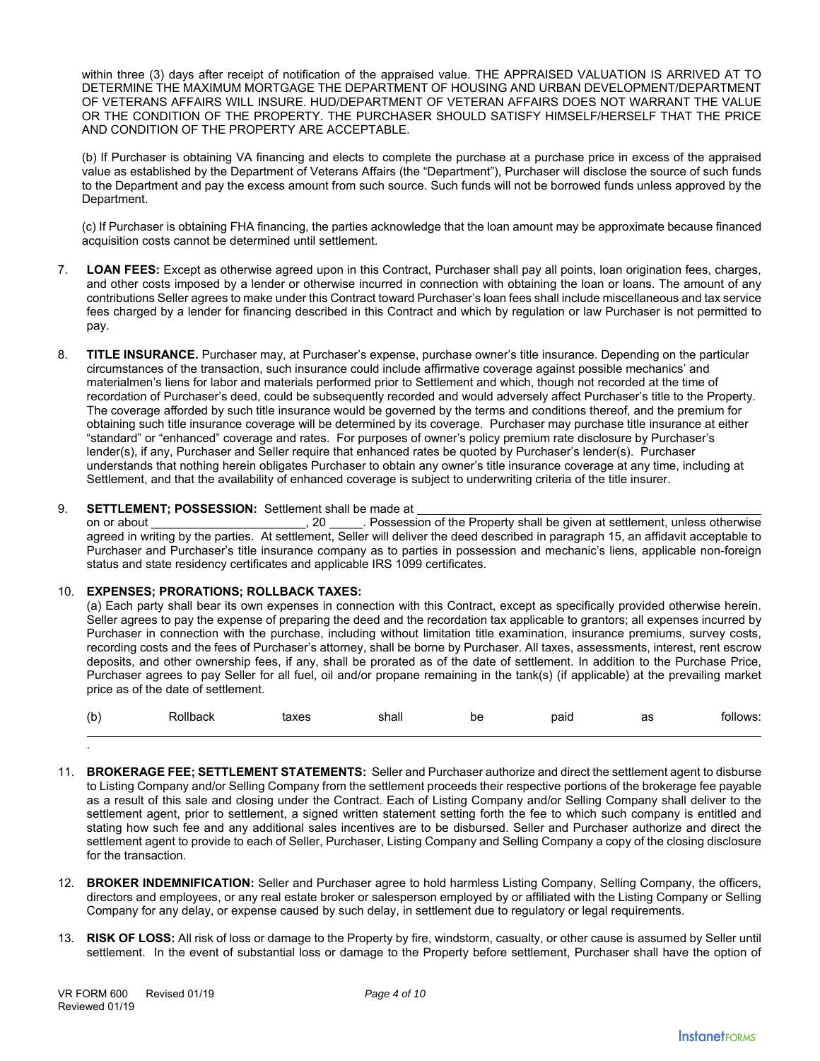within three (3) days after receipt of notification of the appraised value. THE APPRAISED VALUATION IS ARRIVED AT TO DETERMINE THE MAXIMUM MORTGAGE THE DEPARTMENT OF HOUSING AND URBAN DEVELOPMENT/DEPARTMENT OF VETERANS AFFAIRS WILL INSURE. HUD/DEPARTMENT OF VETERAN AFFAIRS DOES NOT WARRANT THE VALUE OR THE CONDITION OF THE PROPERTY. THE PURCHASER SHOULD SATISFY HIMSELF/HERSELF THAT THE PRICE AND CONDITION OF THE PROPERTY ARE ACCEPTABLE.

(b) If Purchaser is obtaining VA financing and elects to complete the purchase at a purchase price in excess of the appraised value as established by the Department of Veterans Affairs (the "Department"), Purchaser will disclose the source of such funds to the Department and pay the excess amount from such source. Such funds will not be borrowed funds unless approved by the Department.

(c) If Purchaser is obtaining FHA financing, the parties acknowledge that the loan amount may be approximate because financed acquisition costs cannot be determined until settlement.

- 7. **LOAN FEES:** Except as otherwise agreed upon in this Contract, Purchaser shall pay all points, loan origination fees, charges, and other costs imposed by a lender or otherwise incurred in connection with obtaining the loan or loans. The amount of any contributions Seller agrees to make under this Contract toward Purchaser's loan fees shall include miscellaneous and tax service fees charged by a lender for financing described in this Contract and which by regulation or law Purchaser is not permitted to pay.
- 8. **TITLE INSURANCE.** Purchaser may, at Purchaser's expense, purchase owner's title insurance. Depending on the particular circumstances of the transaction, such insurance could include affirmative coverage against possible mechanics' and materialmen's liens for labor and materials performed prior to Settlement and which, though not recorded at the time of recordation of Purchaser's deed, could be subsequently recorded and would adversely affect Purchaser's title to the Property. The coverage afforded by such title insurance would be governed by the terms and conditions thereof, and the premium for obtaining such title insurance coverage will be determined by its coverage. Purchaser may purchase title insurance at either "standard" or "enhanced" coverage and rates. For purposes of owner's policy premium rate disclosure by Purchaser's lender(s), if any, Purchaser and Seller require that enhanced rates be quoted by Purchaser's lender(s). Purchaser understands that nothing herein obligates Purchaser to obtain any owner's title insurance coverage at any time, including at Settlement, and that the availability of enhanced coverage is subject to underwriting criteria of the title insurer.

## 9. **SETTLEMENT; POSSESSION:** Settlement shall be made at

on or about **the interval of the Property shall be given at settlement, unless otherwise** agreed in writing by the parties. At settlement, Seller will deliver the deed described in paragraph 15, an affidavit acceptable to Purchaser and Purchaser's title insurance company as to parties in possession and mechanic's liens, applicable non-foreign status and state residency certificates and applicable IRS 1099 certificates.

### 10. **EXPENSES; PRORATIONS; ROLLBACK TAXES:**

(a) Each party shall bear its own expenses in connection with this Contract, except as specifically provided otherwise herein. Seller agrees to pay the expense of preparing the deed and the recordation tax applicable to grantors; all expenses incurred by Purchaser in connection with the purchase, including without limitation title examination, insurance premiums, survey costs, recording costs and the fees of Purchaser's attorney, shall be borne by Purchaser. All taxes, assessments, interest, rent escrow deposits, and other ownership fees, if any, shall be prorated as of the date of settlement. In addition to the Purchase Price, Purchaser agrees to pay Seller for all fuel, oil and/or propane remaining in the tank(s) (if applicable) at the prevailing market price as of the date of settlement.

| (b) | Rollback | taxes | shall | be | paid | as | follows: |
|-----|----------|-------|-------|----|------|----|----------|
|     |          |       |       |    |      |    |          |

- 11. **BROKERAGE FEE; SETTLEMENT STATEMENTS:** Seller and Purchaser authorize and direct the settlement agent to disburse to Listing Company and/or Selling Company from the settlement proceeds their respective portions of the brokerage fee payable as a result of this sale and closing under the Contract. Each of Listing Company and/or Selling Company shall deliver to the settlement agent, prior to settlement, a signed written statement setting forth the fee to which such company is entitled and stating how such fee and any additional sales incentives are to be disbursed. Seller and Purchaser authorize and direct the settlement agent to provide to each of Seller, Purchaser, Listing Company and Selling Company a copy of the closing disclosure for the transaction.
- 12. **BROKER INDEMNIFICATION:** Seller and Purchaser agree to hold harmless Listing Company, Selling Company, the officers, directors and employees, or any real estate broker or salesperson employed by or affiliated with the Listing Company or Selling Company for any delay, or expense caused by such delay, in settlement due to regulatory or legal requirements.
- 13. **RISK OF LOSS:** All risk of loss or damage to the Property by fire, windstorm, casualty, or other cause is assumed by Seller until settlement. In the event of substantial loss or damage to the Property before settlement, Purchaser shall have the option of

.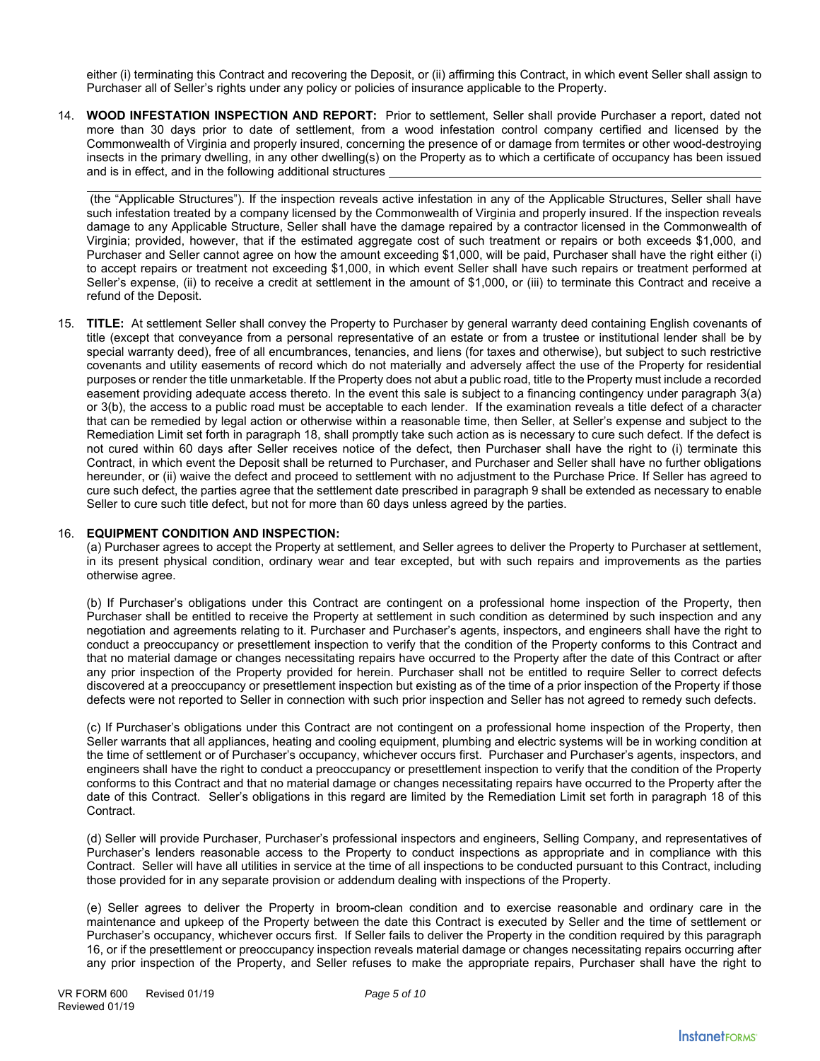either (i) terminating this Contract and recovering the Deposit, or (ii) affirming this Contract, in which event Seller shall assign to Purchaser all of Seller's rights under any policy or policies of insurance applicable to the Property.

14. **WOOD INFESTATION INSPECTION AND REPORT:** Prior to settlement, Seller shall provide Purchaser a report, dated not more than 30 days prior to date of settlement, from a wood infestation control company certified and licensed by the Commonwealth of Virginia and properly insured, concerning the presence of or damage from termites or other wood-destroying insects in the primary dwelling, in any other dwelling(s) on the Property as to which a certificate of occupancy has been issued and is in effect, and in the following additional structures

 (the "Applicable Structures"). If the inspection reveals active infestation in any of the Applicable Structures, Seller shall have such infestation treated by a company licensed by the Commonwealth of Virginia and properly insured. If the inspection reveals damage to any Applicable Structure, Seller shall have the damage repaired by a contractor licensed in the Commonwealth of Virginia; provided, however, that if the estimated aggregate cost of such treatment or repairs or both exceeds \$1,000, and Purchaser and Seller cannot agree on how the amount exceeding \$1,000, will be paid, Purchaser shall have the right either (i) to accept repairs or treatment not exceeding \$1,000, in which event Seller shall have such repairs or treatment performed at Seller's expense, (ii) to receive a credit at settlement in the amount of \$1,000, or (iii) to terminate this Contract and receive a refund of the Deposit.

15. **TITLE:** At settlement Seller shall convey the Property to Purchaser by general warranty deed containing English covenants of title (except that conveyance from a personal representative of an estate or from a trustee or institutional lender shall be by special warranty deed), free of all encumbrances, tenancies, and liens (for taxes and otherwise), but subject to such restrictive covenants and utility easements of record which do not materially and adversely affect the use of the Property for residential purposes or render the title unmarketable. If the Property does not abut a public road, title to the Property must include a recorded easement providing adequate access thereto. In the event this sale is subject to a financing contingency under paragraph 3(a) or 3(b), the access to a public road must be acceptable to each lender. If the examination reveals a title defect of a character that can be remedied by legal action or otherwise within a reasonable time, then Seller, at Seller's expense and subject to the Remediation Limit set forth in paragraph 18, shall promptly take such action as is necessary to cure such defect. If the defect is not cured within 60 days after Seller receives notice of the defect, then Purchaser shall have the right to (i) terminate this Contract, in which event the Deposit shall be returned to Purchaser, and Purchaser and Seller shall have no further obligations hereunder, or (ii) waive the defect and proceed to settlement with no adjustment to the Purchase Price. If Seller has agreed to cure such defect, the parties agree that the settlement date prescribed in paragraph 9 shall be extended as necessary to enable Seller to cure such title defect, but not for more than 60 days unless agreed by the parties.

#### 16. **EQUIPMENT CONDITION AND INSPECTION:**

(a) Purchaser agrees to accept the Property at settlement, and Seller agrees to deliver the Property to Purchaser at settlement, in its present physical condition, ordinary wear and tear excepted, but with such repairs and improvements as the parties otherwise agree.

(b) If Purchaser's obligations under this Contract are contingent on a professional home inspection of the Property, then Purchaser shall be entitled to receive the Property at settlement in such condition as determined by such inspection and any negotiation and agreements relating to it. Purchaser and Purchaser's agents, inspectors, and engineers shall have the right to conduct a preoccupancy or presettlement inspection to verify that the condition of the Property conforms to this Contract and that no material damage or changes necessitating repairs have occurred to the Property after the date of this Contract or after any prior inspection of the Property provided for herein. Purchaser shall not be entitled to require Seller to correct defects discovered at a preoccupancy or presettlement inspection but existing as of the time of a prior inspection of the Property if those defects were not reported to Seller in connection with such prior inspection and Seller has not agreed to remedy such defects.

(c) If Purchaser's obligations under this Contract are not contingent on a professional home inspection of the Property, then Seller warrants that all appliances, heating and cooling equipment, plumbing and electric systems will be in working condition at the time of settlement or of Purchaser's occupancy, whichever occurs first. Purchaser and Purchaser's agents, inspectors, and engineers shall have the right to conduct a preoccupancy or presettlement inspection to verify that the condition of the Property conforms to this Contract and that no material damage or changes necessitating repairs have occurred to the Property after the date of this Contract. Seller's obligations in this regard are limited by the Remediation Limit set forth in paragraph 18 of this Contract.

(d) Seller will provide Purchaser, Purchaser's professional inspectors and engineers, Selling Company, and representatives of Purchaser's lenders reasonable access to the Property to conduct inspections as appropriate and in compliance with this Contract. Seller will have all utilities in service at the time of all inspections to be conducted pursuant to this Contract, including those provided for in any separate provision or addendum dealing with inspections of the Property.

(e) Seller agrees to deliver the Property in broom-clean condition and to exercise reasonable and ordinary care in the maintenance and upkeep of the Property between the date this Contract is executed by Seller and the time of settlement or Purchaser's occupancy, whichever occurs first. If Seller fails to deliver the Property in the condition required by this paragraph 16, or if the presettlement or preoccupancy inspection reveals material damage or changes necessitating repairs occurring after any prior inspection of the Property, and Seller refuses to make the appropriate repairs, Purchaser shall have the right to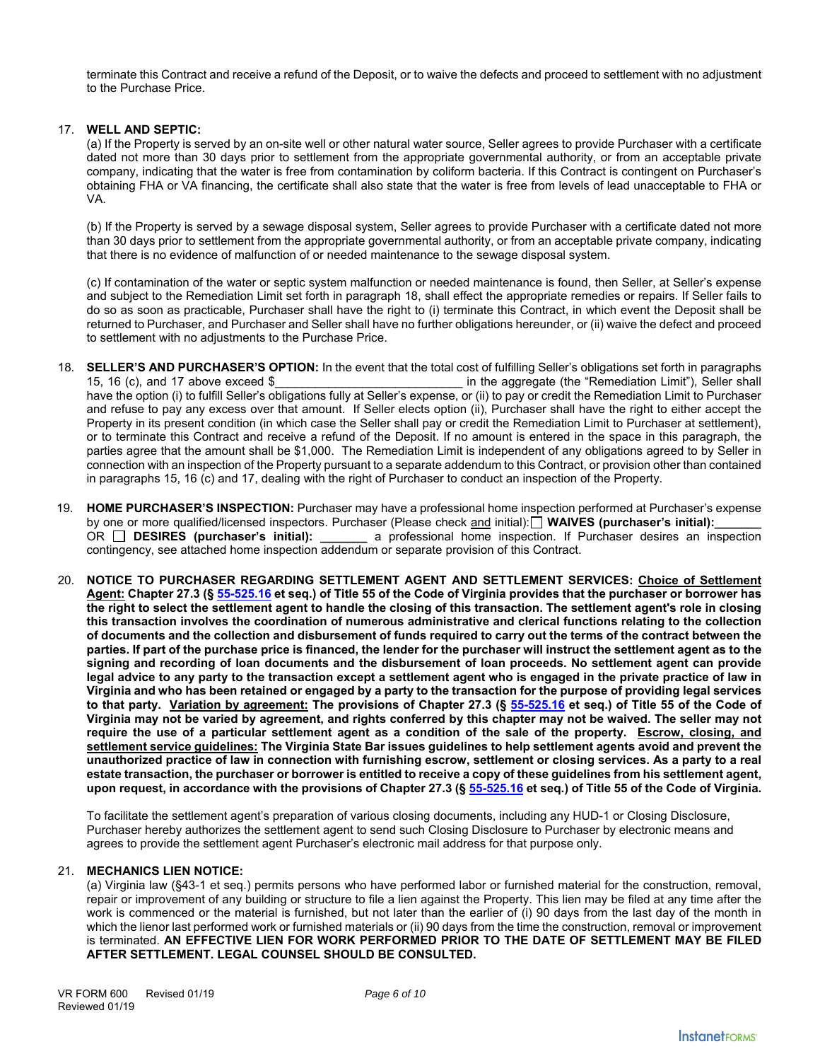terminate this Contract and receive a refund of the Deposit, or to waive the defects and proceed to settlement with no adjustment to the Purchase Price.

### 17. **WELL AND SEPTIC:**

(a) If the Property is served by an on-site well or other natural water source, Seller agrees to provide Purchaser with a certificate dated not more than 30 days prior to settlement from the appropriate governmental authority, or from an acceptable private company, indicating that the water is free from contamination by coliform bacteria. If this Contract is contingent on Purchaser's obtaining FHA or VA financing, the certificate shall also state that the water is free from levels of lead unacceptable to FHA or VA.

(b) If the Property is served by a sewage disposal system, Seller agrees to provide Purchaser with a certificate dated not more than 30 days prior to settlement from the appropriate governmental authority, or from an acceptable private company, indicating that there is no evidence of malfunction of or needed maintenance to the sewage disposal system.

(c) If contamination of the water or septic system malfunction or needed maintenance is found, then Seller, at Seller's expense and subject to the Remediation Limit set forth in paragraph 18, shall effect the appropriate remedies or repairs. If Seller fails to do so as soon as practicable, Purchaser shall have the right to (i) terminate this Contract, in which event the Deposit shall be returned to Purchaser, and Purchaser and Seller shall have no further obligations hereunder, or (ii) waive the defect and proceed to settlement with no adjustments to the Purchase Price.

- 18. **SELLER'S AND PURCHASER'S OPTION:** In the event that the total cost of fulfilling Seller's obligations set forth in paragraphs 15, 16 (c), and 17 above exceed \$\_\_\_\_\_\_\_\_\_\_\_\_\_\_\_\_\_\_\_\_\_\_\_\_\_\_\_\_ in the aggregate (the "Remediation Limit"), Seller shall have the option (i) to fulfill Seller's obligations fully at Seller's expense, or (ii) to pay or credit the Remediation Limit to Purchaser and refuse to pay any excess over that amount. If Seller elects option (ii), Purchaser shall have the right to either accept the Property in its present condition (in which case the Seller shall pay or credit the Remediation Limit to Purchaser at settlement), or to terminate this Contract and receive a refund of the Deposit. If no amount is entered in the space in this paragraph, the parties agree that the amount shall be \$1,000. The Remediation Limit is independent of any obligations agreed to by Seller in connection with an inspection of the Property pursuant to a separate addendum to this Contract, or provision other than contained in paragraphs 15, 16 (c) and 17, dealing with the right of Purchaser to conduct an inspection of the Property.
- 19. **HOME PURCHASER'S INSPECTION:** Purchaser may have a professional home inspection performed at Purchaser's expense by one or more qualified/licensed inspectors. Purchaser (Please check and initial): $\Box$  WAIVES (purchaser's initial): OR **DESIRES (purchaser's initial): \_\_\_\_\_\_\_** a professional home inspection. If Purchaser desires an inspection contingency, see attached home inspection addendum or separate provision of this Contract.
- 20. **NOTICE TO PURCHASER REGARDING SETTLEMENT AGENT AND SETTLEMENT SERVICES: Choice of Settlement Agent: Chapter 27.3 (§ 55-525.16 et seq.) of Title 55 of the Code of Virginia provides that the purchaser or borrower has the right to select the settlement agent to handle the closing of this transaction. The settlement agent's role in closing this transaction involves the coordination of numerous administrative and clerical functions relating to the collection of documents and the collection and disbursement of funds required to carry out the terms of the contract between the parties. If part of the purchase price is financed, the lender for the purchaser will instruct the settlement agent as to the signing and recording of loan documents and the disbursement of loan proceeds. No settlement agent can provide legal advice to any party to the transaction except a settlement agent who is engaged in the private practice of law in Virginia and who has been retained or engaged by a party to the transaction for the purpose of providing legal services to that party. Variation by agreement: The provisions of Chapter 27.3 (§ 55-525.16 et seq.) of Title 55 of the Code of Virginia may not be varied by agreement, and rights conferred by this chapter may not be waived. The seller may not require the use of a particular settlement agent as a condition of the sale of the property. Escrow, closing, and settlement service guidelines: The Virginia State Bar issues guidelines to help settlement agents avoid and prevent the unauthorized practice of law in connection with furnishing escrow, settlement or closing services. As a party to a real estate transaction, the purchaser or borrower is entitled to receive a copy of these guidelines from his settlement agent, upon request, in accordance with the provisions of Chapter 27.3 (§ 55-525.16 et seq.) of Title 55 of the Code of Virginia.**

To facilitate the settlement agent's preparation of various closing documents, including any HUD-1 or Closing Disclosure, Purchaser hereby authorizes the settlement agent to send such Closing Disclosure to Purchaser by electronic means and agrees to provide the settlement agent Purchaser's electronic mail address for that purpose only.

### 21. **MECHANICS LIEN NOTICE:**

(a) Virginia law (§43-1 et seq.) permits persons who have performed labor or furnished material for the construction, removal, repair or improvement of any building or structure to file a lien against the Property. This lien may be filed at any time after the work is commenced or the material is furnished, but not later than the earlier of (i) 90 days from the last day of the month in which the lienor last performed work or furnished materials or (ii) 90 days from the time the construction, removal or improvement is terminated. **AN EFFECTIVE LIEN FOR WORK PERFORMED PRIOR TO THE DATE OF SETTLEMENT MAY BE FILED AFTER SETTLEMENT. LEGAL COUNSEL SHOULD BE CONSULTED.**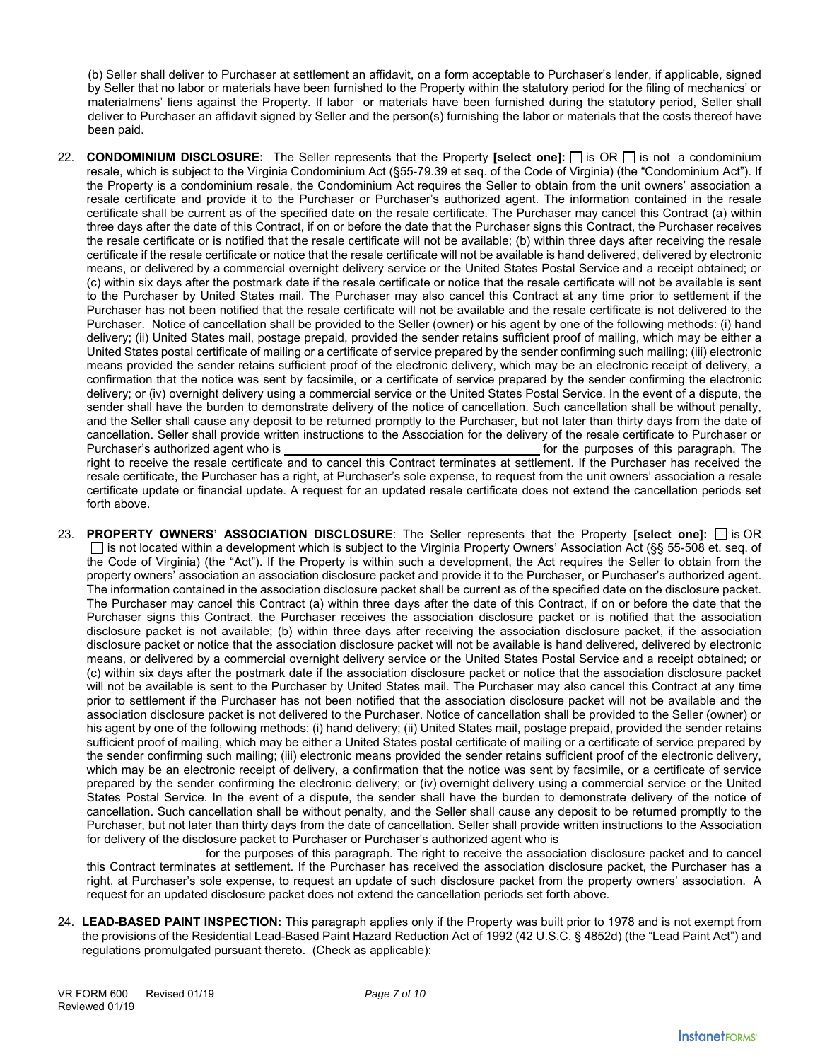(b) Seller shall deliver to Purchaser at settlement an affidavit, on a form acceptable to Purchaser's lender, if applicable, signed by Seller that no labor or materials have been furnished to the Property within the statutory period for the filing of mechanics' or materialmens' liens against the Property. If labor or materials have been furnished during the statutory period, Seller shall deliver to Purchaser an affidavit signed by Seller and the person(s) furnishing the labor or materials that the costs thereof have been paid.

- 22. **CONDOMINIUM DISCLOSURE:** The Seller represents that the Property **[select one]:**  $\Box$  is OR  $\Box$  is not a condominium resale, which is subject to the Virginia Condominium Act (§55-79.39 et seq. of the Code of Virginia) (the "Condominium Act"). If the Property is a condominium resale, the Condominium Act requires the Seller to obtain from the unit owners' association a resale certificate and provide it to the Purchaser or Purchaser's authorized agent. The information contained in the resale certificate shall be current as of the specified date on the resale certificate. The Purchaser may cancel this Contract (a) within three days after the date of this Contract, if on or before the date that the Purchaser signs this Contract, the Purchaser receives the resale certificate or is notified that the resale certificate will not be available; (b) within three days after receiving the resale certificate if the resale certificate or notice that the resale certificate will not be available is hand delivered, delivered by electronic means, or delivered by a commercial overnight delivery service or the United States Postal Service and a receipt obtained; or (c) within six days after the postmark date if the resale certificate or notice that the resale certificate will not be available is sent to the Purchaser by United States mail. The Purchaser may also cancel this Contract at any time prior to settlement if the Purchaser has not been notified that the resale certificate will not be available and the resale certificate is not delivered to the Purchaser. Notice of cancellation shall be provided to the Seller (owner) or his agent by one of the following methods: (i) hand delivery; (ii) United States mail, postage prepaid, provided the sender retains sufficient proof of mailing, which may be either a United States postal certificate of mailing or a certificate of service prepared by the sender confirming such mailing; (iii) electronic means provided the sender retains sufficient proof of the electronic delivery, which may be an electronic receipt of delivery, a confirmation that the notice was sent by facsimile, or a certificate of service prepared by the sender confirming the electronic delivery; or (iv) overnight delivery using a commercial service or the United States Postal Service. In the event of a dispute, the sender shall have the burden to demonstrate delivery of the notice of cancellation. Such cancellation shall be without penalty, and the Seller shall cause any deposit to be returned promptly to the Purchaser, but not later than thirty days from the date of cancellation. Seller shall provide written instructions to the Association for the delivery of the resale certificate to Purchaser or Purchaser's authorized agent who is for the purposes of this paragraph. The purposes of this paragraph. The right to receive the resale certificate and to cancel this Contract terminates at settlement. If the Purchaser has received the resale certificate, the Purchaser has a right, at Purchaser's sole expense, to request from the unit owners' association a resale certificate update or financial update. A request for an updated resale certificate does not extend the cancellation periods set
- 23. **PROPERTY OWNERS' ASSOCIATION DISCLOSURE**: The Seller represents that the Property **[select one]:** is OR  $\Box$  is not located within a development which is subject to the Virginia Property Owners' Association Act (§§ 55-508 et. seg. of the Code of Virginia) (the "Act"). If the Property is within such a development, the Act requires the Seller to obtain from the property owners' association an association disclosure packet and provide it to the Purchaser, or Purchaser's authorized agent. The information contained in the association disclosure packet shall be current as of the specified date on the disclosure packet. The Purchaser may cancel this Contract (a) within three days after the date of this Contract, if on or before the date that the Purchaser signs this Contract, the Purchaser receives the association disclosure packet or is notified that the association disclosure packet is not available; (b) within three days after receiving the association disclosure packet, if the association disclosure packet or notice that the association disclosure packet will not be available is hand delivered, delivered by electronic means, or delivered by a commercial overnight delivery service or the United States Postal Service and a receipt obtained; or (c) within six days after the postmark date if the association disclosure packet or notice that the association disclosure packet will not be available is sent to the Purchaser by United States mail. The Purchaser may also cancel this Contract at any time prior to settlement if the Purchaser has not been notified that the association disclosure packet will not be available and the association disclosure packet is not delivered to the Purchaser. Notice of cancellation shall be provided to the Seller (owner) or his agent by one of the following methods: (i) hand delivery; (ii) United States mail, postage prepaid, provided the sender retains sufficient proof of mailing, which may be either a United States postal certificate of mailing or a certificate of service prepared by the sender confirming such mailing; (iii) electronic means provided the sender retains sufficient proof of the electronic delivery, which may be an electronic receipt of delivery, a confirmation that the notice was sent by facsimile, or a certificate of service prepared by the sender confirming the electronic delivery; or (iv) overnight delivery using a commercial service or the United States Postal Service. In the event of a dispute, the sender shall have the burden to demonstrate delivery of the notice of cancellation. Such cancellation shall be without penalty, and the Seller shall cause any deposit to be returned promptly to the Purchaser, but not later than thirty days from the date of cancellation. Seller shall provide written instructions to the Association for delivery of the disclosure packet to Purchaser or Purchaser's authorized agent who is

 for the purposes of this paragraph. The right to receive the association disclosure packet and to cancel this Contract terminates at settlement. If the Purchaser has received the association disclosure packet, the Purchaser has a right, at Purchaser's sole expense, to request an update of such disclosure packet from the property owners' association. A request for an updated disclosure packet does not extend the cancellation periods set forth above.

24. **LEAD-BASED PAINT INSPECTION:** This paragraph applies only if the Property was built prior to 1978 and is not exempt from the provisions of the Residential Lead-Based Paint Hazard Reduction Act of 1992 (42 U.S.C. § 4852d) (the "Lead Paint Act") and regulations promulgated pursuant thereto. (Check as applicable):

forth above.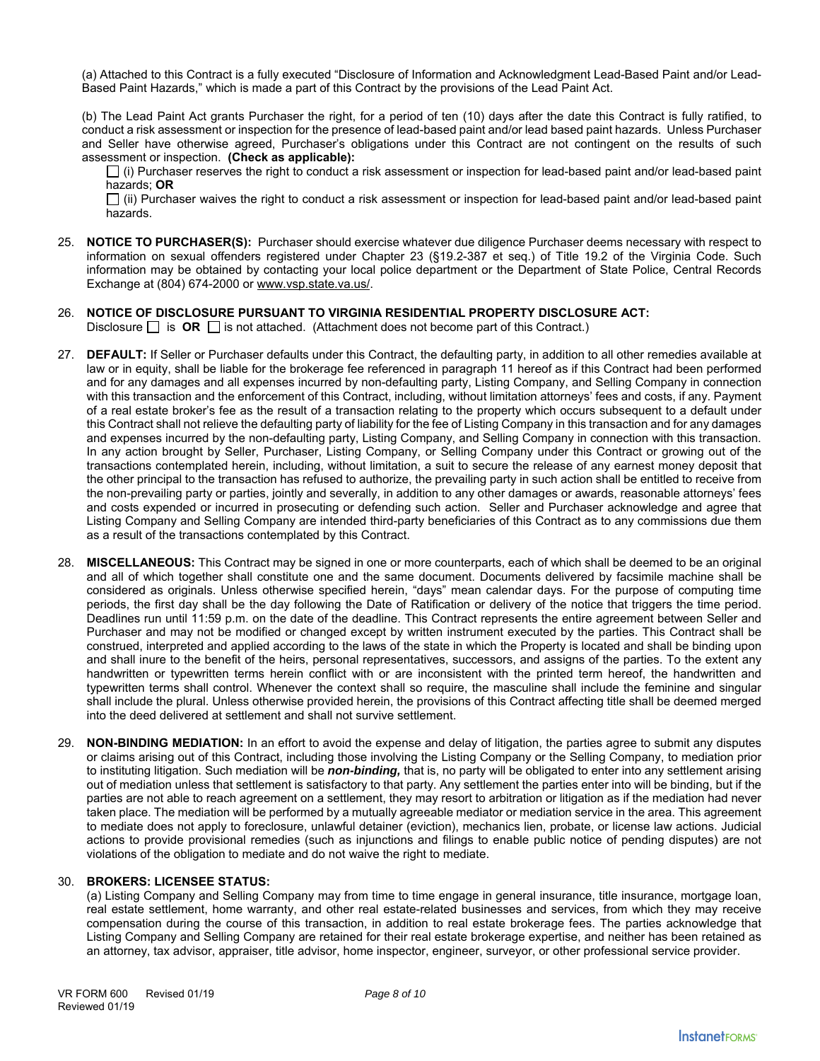(a) Attached to this Contract is a fully executed "Disclosure of Information and Acknowledgment Lead-Based Paint and/or Lead-Based Paint Hazards," which is made a part of this Contract by the provisions of the Lead Paint Act.

(b) The Lead Paint Act grants Purchaser the right, for a period of ten (10) days after the date this Contract is fully ratified, to conduct a risk assessment or inspection for the presence of lead-based paint and/or lead based paint hazards. Unless Purchaser and Seller have otherwise agreed, Purchaser's obligations under this Contract are not contingent on the results of such assessment or inspection. **(Check as applicable):**

 $\Box$  (i) Purchaser reserves the right to conduct a risk assessment or inspection for lead-based paint and/or lead-based paint hazards; **OR**

 $\Box$  (ii) Purchaser waives the right to conduct a risk assessment or inspection for lead-based paint and/or lead-based paint hazards.

- 25. **NOTICE TO PURCHASER(S):** Purchaser should exercise whatever due diligence Purchaser deems necessary with respect to information on sexual offenders registered under Chapter 23 (§19.2-387 et seq.) of Title 19.2 of the Virginia Code. Such information may be obtained by contacting your local police department or the Department of State Police, Central Records Exchange at (804) 674-2000 or www.vsp.state.va.us/.
- 26. **NOTICE OF DISCLOSURE PURSUANT TO VIRGINIA RESIDENTIAL PROPERTY DISCLOSURE ACT:**  Disclosure  $\Box$  is **OR**  $\Box$  is not attached. (Attachment does not become part of this Contract.)
- 27. **DEFAULT:** If Seller or Purchaser defaults under this Contract, the defaulting party, in addition to all other remedies available at law or in equity, shall be liable for the brokerage fee referenced in paragraph 11 hereof as if this Contract had been performed and for any damages and all expenses incurred by non-defaulting party, Listing Company, and Selling Company in connection with this transaction and the enforcement of this Contract, including, without limitation attorneys' fees and costs, if any. Payment of a real estate broker's fee as the result of a transaction relating to the property which occurs subsequent to a default under this Contract shall not relieve the defaulting party of liability for the fee of Listing Company in this transaction and for any damages and expenses incurred by the non-defaulting party, Listing Company, and Selling Company in connection with this transaction. In any action brought by Seller, Purchaser, Listing Company, or Selling Company under this Contract or growing out of the transactions contemplated herein, including, without limitation, a suit to secure the release of any earnest money deposit that the other principal to the transaction has refused to authorize, the prevailing party in such action shall be entitled to receive from the non-prevailing party or parties, jointly and severally, in addition to any other damages or awards, reasonable attorneys' fees and costs expended or incurred in prosecuting or defending such action. Seller and Purchaser acknowledge and agree that Listing Company and Selling Company are intended third-party beneficiaries of this Contract as to any commissions due them as a result of the transactions contemplated by this Contract.
- 28. **MISCELLANEOUS:** This Contract may be signed in one or more counterparts, each of which shall be deemed to be an original and all of which together shall constitute one and the same document. Documents delivered by facsimile machine shall be considered as originals. Unless otherwise specified herein, "days" mean calendar days. For the purpose of computing time periods, the first day shall be the day following the Date of Ratification or delivery of the notice that triggers the time period. Deadlines run until 11:59 p.m. on the date of the deadline. This Contract represents the entire agreement between Seller and Purchaser and may not be modified or changed except by written instrument executed by the parties. This Contract shall be construed, interpreted and applied according to the laws of the state in which the Property is located and shall be binding upon and shall inure to the benefit of the heirs, personal representatives, successors, and assigns of the parties. To the extent any handwritten or typewritten terms herein conflict with or are inconsistent with the printed term hereof, the handwritten and typewritten terms shall control. Whenever the context shall so require, the masculine shall include the feminine and singular shall include the plural. Unless otherwise provided herein, the provisions of this Contract affecting title shall be deemed merged into the deed delivered at settlement and shall not survive settlement.
- 29. **NON-BINDING MEDIATION:** In an effort to avoid the expense and delay of litigation, the parties agree to submit any disputes or claims arising out of this Contract, including those involving the Listing Company or the Selling Company, to mediation prior to instituting litigation. Such mediation will be *non-binding,* that is, no party will be obligated to enter into any settlement arising out of mediation unless that settlement is satisfactory to that party. Any settlement the parties enter into will be binding, but if the parties are not able to reach agreement on a settlement, they may resort to arbitration or litigation as if the mediation had never taken place. The mediation will be performed by a mutually agreeable mediator or mediation service in the area. This agreement to mediate does not apply to foreclosure, unlawful detainer (eviction), mechanics lien, probate, or license law actions. Judicial actions to provide provisional remedies (such as injunctions and filings to enable public notice of pending disputes) are not violations of the obligation to mediate and do not waive the right to mediate.

### 30. **BROKERS: LICENSEE STATUS:**

(a) Listing Company and Selling Company may from time to time engage in general insurance, title insurance, mortgage loan, real estate settlement, home warranty, and other real estate-related businesses and services, from which they may receive compensation during the course of this transaction, in addition to real estate brokerage fees. The parties acknowledge that Listing Company and Selling Company are retained for their real estate brokerage expertise, and neither has been retained as an attorney, tax advisor, appraiser, title advisor, home inspector, engineer, surveyor, or other professional service provider.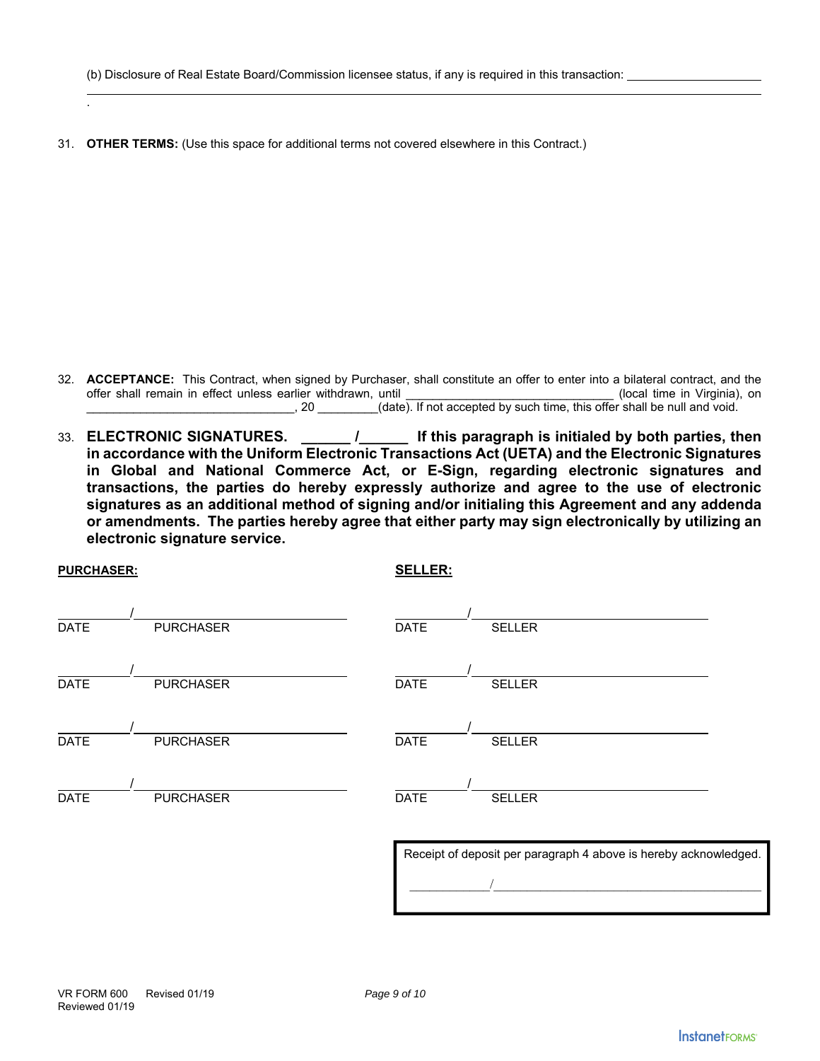31. **OTHER TERMS:** (Use this space for additional terms not covered elsewhere in this Contract.)

- 32. **ACCEPTANCE:** This Contract, when signed by Purchaser, shall constitute an offer to enter into a bilateral contract, and the offer shall remain in effect unless earlier withdrawn, until example the state of the control (local time in Virginia), on  $\frac{1}{2}$ , 20  $\frac{1}{2}$  (date). If not accepted by such time, this offer shall be null and void.
- 33. **ELECTRONIC SIGNATURES. \_\_\_\_\_\_ /\_\_\_\_\_\_ If this paragraph is initialed by both parties, then in accordance with the Uniform Electronic Transactions Act (UETA) and the Electronic Signatures in Global and National Commerce Act, or E-Sign, regarding electronic signatures and transactions, the parties do hereby expressly authorize and agree to the use of electronic signatures as an additional method of signing and/or initialing this Agreement and any addenda or amendments. The parties hereby agree that either party may sign electronically by utilizing an electronic signature service.**

| <b>PURCHASER:</b> |                  | <b>SELLER:</b>                                                   |  |
|-------------------|------------------|------------------------------------------------------------------|--|
| <b>DATE</b>       | <b>PURCHASER</b> | <b>DATE</b><br><b>SELLER</b>                                     |  |
| <b>DATE</b>       | <b>PURCHASER</b> | <b>DATE</b><br><b>SELLER</b>                                     |  |
| <b>DATE</b>       | <b>PURCHASER</b> | <b>DATE</b><br><b>SELLER</b>                                     |  |
| <b>DATE</b>       | <b>PURCHASER</b> | <b>DATE</b><br><b>SELLER</b>                                     |  |
|                   |                  | Receipt of deposit per paragraph 4 above is hereby acknowledged. |  |

.